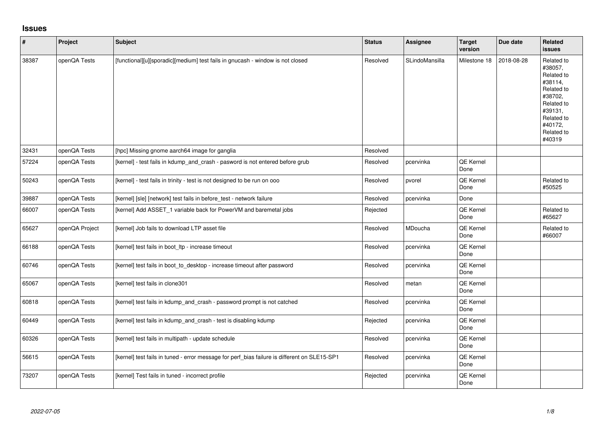## **Issues**

| $\vert$ # | Project        | <b>Subject</b>                                                                               | <b>Status</b> | <b>Assignee</b> | <b>Target</b><br>version | Due date   | Related<br><b>issues</b>                                                                                                                          |
|-----------|----------------|----------------------------------------------------------------------------------------------|---------------|-----------------|--------------------------|------------|---------------------------------------------------------------------------------------------------------------------------------------------------|
| 38387     | openQA Tests   | [functional][u][sporadic][medium] test fails in gnucash - window is not closed               | Resolved      | SLindoMansilla  | Milestone 18             | 2018-08-28 | Related to<br>#38057,<br>Related to<br>#38114,<br>Related to<br>#38702,<br>Related to<br>#39131,<br>Related to<br>#40172,<br>Related to<br>#40319 |
| 32431     | openQA Tests   | [hpc] Missing gnome aarch64 image for ganglia                                                | Resolved      |                 |                          |            |                                                                                                                                                   |
| 57224     | openQA Tests   | [kernel] - test fails in kdump_and_crash - pasword is not entered before grub                | Resolved      | pcervinka       | <b>QE Kernel</b><br>Done |            |                                                                                                                                                   |
| 50243     | openQA Tests   | [kernel] - test fails in trinity - test is not designed to be run on ooo                     | Resolved      | pvorel          | <b>QE Kernel</b><br>Done |            | Related to<br>#50525                                                                                                                              |
| 39887     | openQA Tests   | [kernel] [sle] [network] test fails in before_test - network failure                         | Resolved      | pcervinka       | Done                     |            |                                                                                                                                                   |
| 66007     | openQA Tests   | [kernel] Add ASSET_1 variable back for PowerVM and baremetal jobs                            | Rejected      |                 | QE Kernel<br>Done        |            | Related to<br>#65627                                                                                                                              |
| 65627     | openQA Project | [kernel] Job fails to download LTP asset file                                                | Resolved      | MDoucha         | QE Kernel<br>Done        |            | Related to<br>#66007                                                                                                                              |
| 66188     | openQA Tests   | [kernel] test fails in boot Itp - increase timeout                                           | Resolved      | pcervinka       | QE Kernel<br>Done        |            |                                                                                                                                                   |
| 60746     | openQA Tests   | [kernel] test fails in boot_to_desktop - increase timeout after password                     | Resolved      | pcervinka       | QE Kernel<br>Done        |            |                                                                                                                                                   |
| 65067     | openQA Tests   | [kernel] test fails in clone301                                                              | Resolved      | metan           | QE Kernel<br>Done        |            |                                                                                                                                                   |
| 60818     | openQA Tests   | [kernel] test fails in kdump_and_crash - password prompt is not catched                      | Resolved      | pcervinka       | <b>QE Kernel</b><br>Done |            |                                                                                                                                                   |
| 60449     | openQA Tests   | [kernel] test fails in kdump_and_crash - test is disabling kdump                             | Rejected      | pcervinka       | <b>QE Kernel</b><br>Done |            |                                                                                                                                                   |
| 60326     | openQA Tests   | [kernel] test fails in multipath - update schedule                                           | Resolved      | pcervinka       | QE Kernel<br>Done        |            |                                                                                                                                                   |
| 56615     | openQA Tests   | [kernel] test fails in tuned - error message for perf_bias failure is different on SLE15-SP1 | Resolved      | pcervinka       | QE Kernel<br>Done        |            |                                                                                                                                                   |
| 73207     | openQA Tests   | [kernel] Test fails in tuned - incorrect profile                                             | Rejected      | pcervinka       | <b>QE Kernel</b><br>Done |            |                                                                                                                                                   |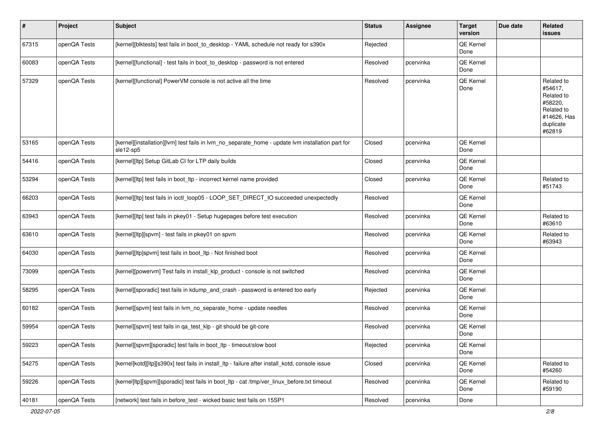| $\sharp$ | Project      | <b>Subject</b>                                                                                                 | <b>Status</b> | Assignee  | <b>Target</b><br>version | Due date | Related<br>issues                                                                                  |
|----------|--------------|----------------------------------------------------------------------------------------------------------------|---------------|-----------|--------------------------|----------|----------------------------------------------------------------------------------------------------|
| 67315    | openQA Tests | [kernel][blktests] test fails in boot_to_desktop - YAML schedule not ready for s390x                           | Rejected      |           | QE Kernel<br>Done        |          |                                                                                                    |
| 60083    | openQA Tests | [kernel][functional] - test fails in boot_to_desktop - password is not entered                                 | Resolved      | pcervinka | QE Kernel<br>Done        |          |                                                                                                    |
| 57329    | openQA Tests | [kernel][functional] PowerVM console is not active all the time                                                | Resolved      | pcervinka | QE Kernel<br>Done        |          | Related to<br>#54617,<br>Related to<br>#58220,<br>Related to<br>#14626, Has<br>duplicate<br>#62819 |
| 53165    | openQA Tests | [kernel][installation][lvm] test fails in lvm_no_separate_home - update lvm installation part for<br>sle12-sp5 | Closed        | pcervinka | QE Kernel<br>Done        |          |                                                                                                    |
| 54416    | openQA Tests | [kernel][ltp] Setup GitLab CI for LTP daily builds                                                             | Closed        | pcervinka | QE Kernel<br>Done        |          |                                                                                                    |
| 53294    | openQA Tests | [kernel][ltp] test fails in boot_ltp - incorrect kernel name provided                                          | Closed        | pcervinka | QE Kernel<br>Done        |          | Related to<br>#51743                                                                               |
| 66203    | openQA Tests | [kernel][ltp] test fails in ioctl_loop05 - LOOP_SET_DIRECT_IO succeeded unexpectedly                           | Resolved      |           | QE Kernel<br>Done        |          |                                                                                                    |
| 63943    | openQA Tests | [kernel][ltp] test fails in pkey01 - Setup hugepages before test execution                                     | Resolved      | pcervinka | QE Kernel<br>Done        |          | Related to<br>#63610                                                                               |
| 63610    | openQA Tests | [kernel][ltp][spvm] - test fails in pkey01 on spvm                                                             | Resolved      | pcervinka | QE Kernel<br>Done        |          | Related to<br>#63943                                                                               |
| 64030    | openQA Tests | [kernel][ltp]spvm] test fails in boot_ltp - Not finished boot                                                  | Resolved      | pcervinka | QE Kernel<br>Done        |          |                                                                                                    |
| 73099    | openQA Tests | [kernel][powervm] Test fails in install_klp_product - console is not switched                                  | Resolved      | pcervinka | QE Kernel<br>Done        |          |                                                                                                    |
| 58295    | openQA Tests | [kernel][sporadic] test fails in kdump_and_crash - password is entered too early                               | Rejected      | pcervinka | QE Kernel<br>Done        |          |                                                                                                    |
| 60182    | openQA Tests | [kernel][spvm] test fails in lvm_no_separate_home - update needles                                             | Resolved      | pcervinka | QE Kernel<br>Done        |          |                                                                                                    |
| 59954    | openQA Tests | [kernel][spvm] test fails in qa_test_klp - git should be git-core                                              | Resolved      | pcervinka | QE Kernel<br>Done        |          |                                                                                                    |
| 59223    | openQA Tests | [kernel][spvm][sporadic] test fails in boot_ltp - timeout/slow boot                                            | Rejected      | pcervinka | QE Kernel<br>Done        |          |                                                                                                    |
| 54275    | openQA Tests | [kernel]kotd][ltp][s390x] test fails in install ltp - failure after install kotd, console issue                | Closed        | pcervinka | QE Kernel<br>Done        |          | Related to<br>#54260                                                                               |
| 59226    | openQA Tests | [kernel]ltp][spvm][sporadic] test fails in boot_ltp - cat /tmp/ver_linux_before.txt timeout                    | Resolved      | pcervinka | QE Kernel<br>Done        |          | Related to<br>#59190                                                                               |
| 40181    | openQA Tests | [network] test fails in before_test - wicked basic test fails on 15SP1                                         | Resolved      | pcervinka | Done                     |          |                                                                                                    |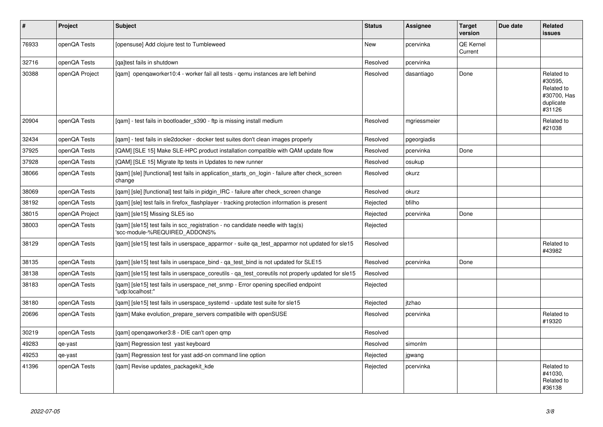| $\pmb{\#}$ | Project        | Subject                                                                                                         | <b>Status</b> | <b>Assignee</b> | <b>Target</b><br>version | Due date | <b>Related</b><br><b>issues</b>                                           |
|------------|----------------|-----------------------------------------------------------------------------------------------------------------|---------------|-----------------|--------------------------|----------|---------------------------------------------------------------------------|
| 76933      | openQA Tests   | [opensuse] Add clojure test to Tumbleweed                                                                       | <b>New</b>    | pcervinka       | QE Kernel<br>Current     |          |                                                                           |
| 32716      | openQA Tests   | lgaltest fails in shutdown                                                                                      | Resolved      | pcervinka       |                          |          |                                                                           |
| 30388      | openQA Project | [gam] opengaworker10:4 - worker fail all tests - gemu instances are left behind                                 | Resolved      | dasantiago      | Done                     |          | Related to<br>#30595,<br>Related to<br>#30700, Has<br>duplicate<br>#31126 |
| 20904      | openQA Tests   | [gam] - test fails in bootloader s390 - ftp is missing install medium                                           | Resolved      | mgriessmeier    |                          |          | Related to<br>#21038                                                      |
| 32434      | openQA Tests   | [gam] - test fails in sle2docker - docker test suites don't clean images properly                               | Resolved      | pgeorgiadis     |                          |          |                                                                           |
| 37925      | openQA Tests   | [QAM] [SLE 15] Make SLE-HPC product installation compatible with QAM update flow                                | Resolved      | pcervinka       | Done                     |          |                                                                           |
| 37928      | openQA Tests   | [QAM] [SLE 15] Migrate Itp tests in Updates to new runner                                                       | Resolved      | osukup          |                          |          |                                                                           |
| 38066      | openQA Tests   | [gam] [sle] [functional] test fails in application_starts_on_login - failure after check_screen<br>change       | Resolved      | okurz           |                          |          |                                                                           |
| 38069      | openQA Tests   | [gam] [sle] [functional] test fails in pidgin IRC - failure after check screen change                           | Resolved      | okurz           |                          |          |                                                                           |
| 38192      | openQA Tests   | [qam] [sle] test fails in firefox_flashplayer - tracking protection information is present                      | Rejected      | bfilho          |                          |          |                                                                           |
| 38015      | openQA Project | [gam] [sle15] Missing SLE5 iso                                                                                  | Rejected      | pcervinka       | Done                     |          |                                                                           |
| 38003      | openQA Tests   | [gam] [sle15] test fails in scc registration - no candidate needle with tag(s)<br>'scc-module-%REQUIRED ADDONS% | Rejected      |                 |                          |          |                                                                           |
| 38129      | openQA Tests   | [qam] [sle15] test fails in userspace_apparmor - suite qa_test_apparmor not updated for sle15                   | Resolved      |                 |                          |          | Related to<br>#43982                                                      |
| 38135      | openQA Tests   | [qam] [sle15] test fails in userspace_bind - qa_test_bind is not updated for SLE15                              | Resolved      | pcervinka       | Done                     |          |                                                                           |
| 38138      | openQA Tests   | [gam] [sle15] test fails in userspace coreutils - ga test coreutils not properly updated for sle15              | Resolved      |                 |                          |          |                                                                           |
| 38183      | openQA Tests   | [gam] [sle15] test fails in userspace net snmp - Error opening specified endpoint<br>"udp:localhost:"           | Rejected      |                 |                          |          |                                                                           |
| 38180      | openQA Tests   | [qam] [sle15] test fails in userspace_systemd - update test suite for sle15                                     | Rejected      | itzhao          |                          |          |                                                                           |
| 20696      | openQA Tests   | [gam] Make evolution prepare servers compatibile with openSUSE                                                  | Resolved      | pcervinka       |                          |          | Related to<br>#19320                                                      |
| 30219      | openQA Tests   | [qam] openqaworker3:8 - DIE can't open qmp                                                                      | Resolved      |                 |                          |          |                                                                           |
| 49283      | qe-yast        | [gam] Regression test yast keyboard                                                                             | Resolved      | simonlm         |                          |          |                                                                           |
| 49253      | qe-yast        | [qam] Regression test for yast add-on command line option                                                       | Rejected      | jgwang          |                          |          |                                                                           |
| 41396      | openQA Tests   | [gam] Revise updates packagekit kde                                                                             | Rejected      | pcervinka       |                          |          | Related to<br>#41030.<br>Related to<br>#36138                             |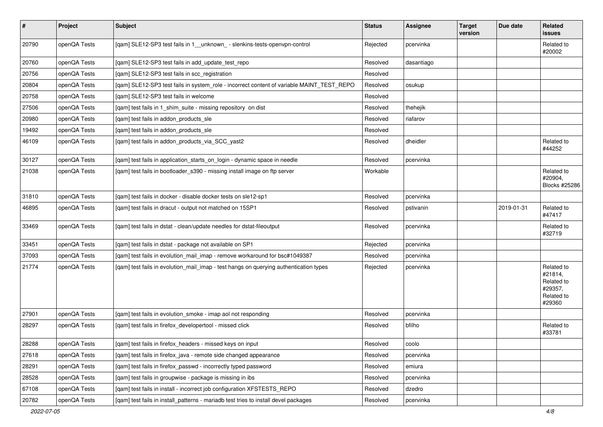| $\sharp$ | Project      | Subject                                                                                   | <b>Status</b> | Assignee   | <b>Target</b><br>version | Due date   | Related<br>issues                                                      |
|----------|--------------|-------------------------------------------------------------------------------------------|---------------|------------|--------------------------|------------|------------------------------------------------------------------------|
| 20790    | openQA Tests | [qam] SLE12-SP3 test fails in 1_unknown_ - slenkins-tests-openvpn-control                 | Rejected      | pcervinka  |                          |            | Related to<br>#20002                                                   |
| 20760    | openQA Tests | [qam] SLE12-SP3 test fails in add_update_test_repo                                        | Resolved      | dasantiago |                          |            |                                                                        |
| 20756    | openQA Tests | [qam] SLE12-SP3 test fails in scc_registration                                            | Resolved      |            |                          |            |                                                                        |
| 20804    | openQA Tests | [qam] SLE12-SP3 test fails in system_role - incorrect content of variable MAINT_TEST_REPO | Resolved      | osukup     |                          |            |                                                                        |
| 20758    | openQA Tests | [qam] SLE12-SP3 test fails in welcome                                                     | Resolved      |            |                          |            |                                                                        |
| 27506    | openQA Tests | [qam] test fails in 1_shim_suite - missing repository on dist                             | Resolved      | thehejik   |                          |            |                                                                        |
| 20980    | openQA Tests | [qam] test fails in addon_products_sle                                                    | Resolved      | riafarov   |                          |            |                                                                        |
| 19492    | openQA Tests | [qam] test fails in addon_products_sle                                                    | Resolved      |            |                          |            |                                                                        |
| 46109    | openQA Tests | [qam] test fails in addon_products_via_SCC_yast2                                          | Resolved      | dheidler   |                          |            | Related to<br>#44252                                                   |
| 30127    | openQA Tests | [qam] test fails in application_starts_on_login - dynamic space in needle                 | Resolved      | pcervinka  |                          |            |                                                                        |
| 21038    | openQA Tests | [qam] test fails in bootloader_s390 - missing install image on ftp server                 | Workable      |            |                          |            | Related to<br>#20904,<br>Blocks #25286                                 |
| 31810    | openQA Tests | [qam] test fails in docker - disable docker tests on sle12-sp1                            | Resolved      | pcervinka  |                          |            |                                                                        |
| 46895    | openQA Tests | [qam] test fails in dracut - output not matched on 15SP1                                  | Resolved      | pstivanin  |                          | 2019-01-31 | Related to<br>#47417                                                   |
| 33469    | openQA Tests | [qam] test fails in dstat - clean/update needles for dstat-fileoutput                     | Resolved      | pcervinka  |                          |            | Related to<br>#32719                                                   |
| 33451    | openQA Tests | [qam] test fails in dstat - package not available on SP1                                  | Rejected      | pcervinka  |                          |            |                                                                        |
| 37093    | openQA Tests | [qam] test fails in evolution_mail_imap - remove workaround for bsc#1049387               | Resolved      | pcervinka  |                          |            |                                                                        |
| 21774    | openQA Tests | [qam] test fails in evolution_mail_imap - test hangs on querying authentication types     | Rejected      | pcervinka  |                          |            | Related to<br>#21814,<br>Related to<br>#29357,<br>Related to<br>#29360 |
| 27901    | openQA Tests | [gam] test fails in evolution smoke - imap aol not responding                             | Resolved      | pcervinka  |                          |            |                                                                        |
| 28297    | openQA Tests | [qam] test fails in firefox_developertool - missed click                                  | Resolved      | bfilho     |                          |            | Related to<br>#33781                                                   |
| 28288    | openQA Tests | [qam] test fails in firefox_headers - missed keys on input                                | Resolved      | coolo      |                          |            |                                                                        |
| 27618    | openQA Tests | [qam] test fails in firefox_java - remote side changed appearance                         | Resolved      | pcervinka  |                          |            |                                                                        |
| 28291    | openQA Tests | [qam] test fails in firefox_passwd - incorrectly typed password                           | Resolved      | emiura     |                          |            |                                                                        |
| 28528    | openQA Tests | [gam] test fails in groupwise - package is missing in ibs                                 | Resolved      | pcervinka  |                          |            |                                                                        |
| 67108    | openQA Tests | [qam] test fails in install - incorrect job configuration XFSTESTS_REPO                   | Resolved      | dzedro     |                          |            |                                                                        |
| 20782    | openQA Tests | [qam] test fails in install_patterns - mariadb test tries to install devel packages       | Resolved      | pcervinka  |                          |            |                                                                        |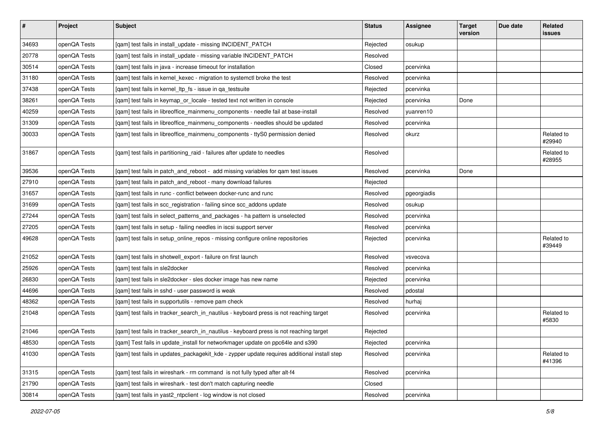| $\vert$ # | Project      | Subject                                                                                     | <b>Status</b> | Assignee    | <b>Target</b><br>version | Due date | Related<br>issues    |
|-----------|--------------|---------------------------------------------------------------------------------------------|---------------|-------------|--------------------------|----------|----------------------|
| 34693     | openQA Tests | [qam] test fails in install_update - missing INCIDENT_PATCH                                 | Rejected      | osukup      |                          |          |                      |
| 20778     | openQA Tests | [qam] test fails in install_update - missing variable INCIDENT_PATCH                        | Resolved      |             |                          |          |                      |
| 30514     | openQA Tests | [qam] test fails in java - increase timeout for installation                                | Closed        | pcervinka   |                          |          |                      |
| 31180     | openQA Tests | [qam] test fails in kernel_kexec - migration to systemctl broke the test                    | Resolved      | pcervinka   |                          |          |                      |
| 37438     | openQA Tests | [qam] test fails in kernel_ltp_fs - issue in qa_testsuite                                   | Rejected      | pcervinka   |                          |          |                      |
| 38261     | openQA Tests | [qam] test fails in keymap_or_locale - tested text not written in console                   | Rejected      | pcervinka   | Done                     |          |                      |
| 40259     | openQA Tests | [qam] test fails in libreoffice_mainmenu_components - needle fail at base-install           | Resolved      | yuanren10   |                          |          |                      |
| 31309     | openQA Tests | [qam] test fails in libreoffice_mainmenu_components - needles should be updated             | Resolved      | pcervinka   |                          |          |                      |
| 30033     | openQA Tests | [qam] test fails in libreoffice_mainmenu_components - ttyS0 permission denied               | Resolved      | okurz       |                          |          | Related to<br>#29940 |
| 31867     | openQA Tests | [qam] test fails in partitioning_raid - failures after update to needles                    | Resolved      |             |                          |          | Related to<br>#28955 |
| 39536     | openQA Tests | [qam] test fails in patch_and_reboot - add missing variables for qam test issues            | Resolved      | pcervinka   | Done                     |          |                      |
| 27910     | openQA Tests | [qam] test fails in patch_and_reboot - many download failures                               | Rejected      |             |                          |          |                      |
| 31657     | openQA Tests | [qam] test fails in runc - conflict between docker-runc and runc                            | Resolved      | pgeorgiadis |                          |          |                      |
| 31699     | openQA Tests | [qam] test fails in scc_registration - failing since scc_addons update                      | Resolved      | osukup      |                          |          |                      |
| 27244     | openQA Tests | [qam] test fails in select_patterns_and_packages - ha pattern is unselected                 | Resolved      | pcervinka   |                          |          |                      |
| 27205     | openQA Tests | [qam] test fails in setup - failing needles in iscsi support server                         | Resolved      | pcervinka   |                          |          |                      |
| 49628     | openQA Tests | [qam] test fails in setup_online_repos - missing configure online repositories              | Rejected      | pcervinka   |                          |          | Related to<br>#39449 |
| 21052     | openQA Tests | [qam] test fails in shotwell_export - failure on first launch                               | Resolved      | vsvecova    |                          |          |                      |
| 25926     | openQA Tests | [gam] test fails in sle2docker                                                              | Resolved      | pcervinka   |                          |          |                      |
| 26830     | openQA Tests | [qam] test fails in sle2docker - sles docker image has new name                             | Rejected      | pcervinka   |                          |          |                      |
| 44696     | openQA Tests | [qam] test fails in sshd - user password is weak                                            | Resolved      | pdostal     |                          |          |                      |
| 48362     | openQA Tests | [qam] test fails in supportutils - remove pam check                                         | Resolved      | hurhaj      |                          |          |                      |
| 21048     | openQA Tests | [qam] test fails in tracker_search_in_nautilus - keyboard press is not reaching target      | Resolved      | pcervinka   |                          |          | Related to<br>#5830  |
| 21046     | openQA Tests | [qam] test fails in tracker_search_in_nautilus - keyboard press is not reaching target      | Rejected      |             |                          |          |                      |
| 48530     | openQA Tests | [qam] Test fails in update_install for networkmager update on ppc64le and s390              | Rejected      | pcervinka   |                          |          |                      |
| 41030     | openQA Tests | [gam] test fails in updates packagekit kde - zypper update requires additional install step | Resolved      | pcervinka   |                          |          | Related to<br>#41396 |
| 31315     | openQA Tests | [qam] test fails in wireshark - rm command is not fully typed after alt-f4                  | Resolved      | pcervinka   |                          |          |                      |
| 21790     | openQA Tests | [qam] test fails in wireshark - test don't match capturing needle                           | Closed        |             |                          |          |                      |
| 30814     | openQA Tests | [qam] test fails in yast2_ntpclient - log window is not closed                              | Resolved      | pcervinka   |                          |          |                      |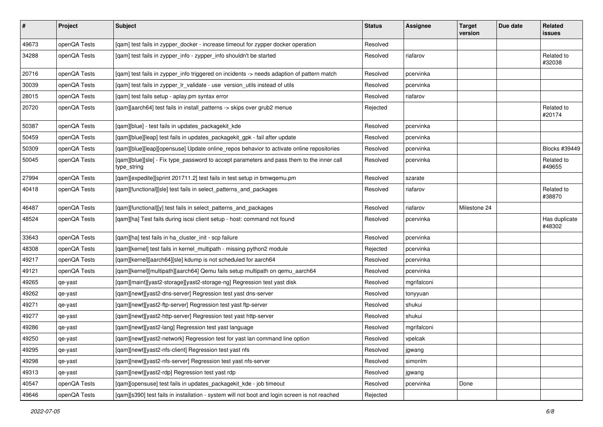| $\pmb{\#}$ | Project      | <b>Subject</b>                                                                                           | <b>Status</b> | <b>Assignee</b> | <b>Target</b><br>version | Due date | Related<br>issues       |
|------------|--------------|----------------------------------------------------------------------------------------------------------|---------------|-----------------|--------------------------|----------|-------------------------|
| 49673      | openQA Tests | [qam] test fails in zypper_docker - increase timeout for zypper docker operation                         | Resolved      |                 |                          |          |                         |
| 34288      | openQA Tests | [qam] test fails in zypper_info - zypper_info shouldn't be started                                       | Resolved      | riafarov        |                          |          | Related to<br>#32038    |
| 20716      | openQA Tests | [qam] test fails in zypper_info triggered on incidents -> needs adaption of pattern match                | Resolved      | pcervinka       |                          |          |                         |
| 30039      | openQA Tests | [qam] test fails in zypper_lr_validate - use version_utils instead of utils                              | Resolved      | pcervinka       |                          |          |                         |
| 28015      | openQA Tests | [qam] test fails setup - aplay.pm syntax error                                                           | Resolved      | riafarov        |                          |          |                         |
| 20720      | openQA Tests | [qam][aarch64] test fails in install_patterns -> skips over grub2 menue                                  | Rejected      |                 |                          |          | Related to<br>#20174    |
| 50387      | openQA Tests | [qam][blue] - test fails in updates_packagekit_kde                                                       | Resolved      | pcervinka       |                          |          |                         |
| 50459      | openQA Tests | [qam][blue][leap] test fails in updates_packagekit_gpk - fail after update                               | Resolved      | pcervinka       |                          |          |                         |
| 50309      | openQA Tests | [qam][blue][leap][opensuse] Update online_repos behavior to activate online repositories                 | Resolved      | pcervinka       |                          |          | Blocks #39449           |
| 50045      | openQA Tests | [qam][blue][sle] - Fix type_password to accept parameters and pass them to the inner call<br>type_string | Resolved      | pcervinka       |                          |          | Related to<br>#49655    |
| 27994      | openQA Tests | [qam][expedite][sprint 201711.2] test fails in test setup in bmwqemu.pm                                  | Resolved      | szarate         |                          |          |                         |
| 40418      | openQA Tests | [qam][functional][sle] test fails in select_patterns_and_packages                                        | Resolved      | riafarov        |                          |          | Related to<br>#38870    |
| 46487      | openQA Tests | [qam][functional][y] test fails in select_patterns_and_packages                                          | Resolved      | riafarov        | Milestone 24             |          |                         |
| 48524      | openQA Tests | [qam][ha] Test fails during iscsi client setup - host: command not found                                 | Resolved      | pcervinka       |                          |          | Has duplicate<br>#48302 |
| 33643      | openQA Tests | [qam][ha] test fails in ha_cluster_init - scp failure                                                    | Resolved      | pcervinka       |                          |          |                         |
| 48308      | openQA Tests | [qam][kernel] test fails in kernel_multipath - missing python2 module                                    | Rejected      | pcervinka       |                          |          |                         |
| 49217      | openQA Tests | [qam][kernel][aarch64][sle] kdump is not scheduled for aarch64                                           | Resolved      | pcervinka       |                          |          |                         |
| 49121      | openQA Tests | [qam][kernel][multipath][aarch64] Qemu fails setup multipath on qemu_aarch64                             | Resolved      | pcervinka       |                          |          |                         |
| 49265      | qe-yast      | [qam][maint][yast2-storage][yast2-storage-ng] Regression test yast disk                                  | Resolved      | mgrifalconi     |                          |          |                         |
| 49262      | qe-yast      | [qam][newt][yast2-dns-server] Regression test yast dns-server                                            | Resolved      | tonyyuan        |                          |          |                         |
| 49271      | qe-yast      | [qam][newt][yast2-ftp-server] Regression test yast ftp-server                                            | Resolved      | shukui          |                          |          |                         |
| 49277      | qe-yast      | [qam][newt][yast2-http-server] Regression test yast http-server                                          | Resolved      | shukui          |                          |          |                         |
| 49286      | qe-yast      | [qam][newt][yast2-lang] Regression test yast language                                                    | Resolved      | mgrifalconi     |                          |          |                         |
| 49250      | qe-yast      | [qam][newt][yast2-network] Regression test for yast lan command line option                              | Resolved      | vpelcak         |                          |          |                         |
| 49295      | qe-yast      | [qam][newt][yast2-nfs-client] Regression test yast nfs                                                   | Resolved      | jgwang          |                          |          |                         |
| 49298      | qe-yast      | [qam][newt][yast2-nfs-server] Regression test yast nfs-server                                            | Resolved      | simonlm         |                          |          |                         |
| 49313      | qe-yast      | [qam][newt][yast2-rdp] Regression test yast rdp                                                          | Resolved      | jgwang          |                          |          |                         |
| 40547      | openQA Tests | [qam][opensuse] test fails in updates_packagekit_kde - job timeout                                       | Resolved      | pcervinka       | Done                     |          |                         |
| 49646      | openQA Tests | [qam][s390] test fails in installation - system will not boot and login screen is not reached            | Rejected      |                 |                          |          |                         |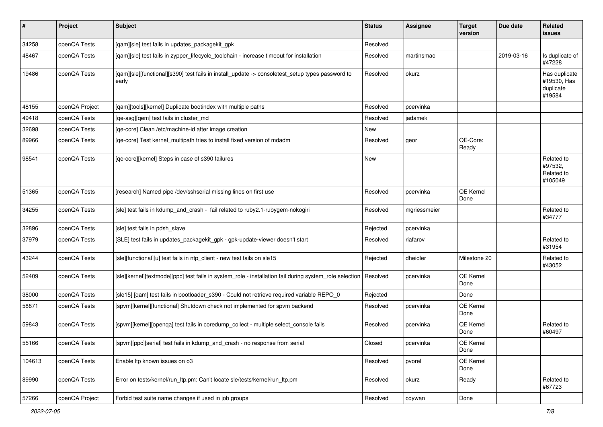| $\pmb{\#}$ | Project        | <b>Subject</b>                                                                                            | <b>Status</b> | <b>Assignee</b> | <b>Target</b><br>version | Due date   | <b>Related</b><br>issues                            |
|------------|----------------|-----------------------------------------------------------------------------------------------------------|---------------|-----------------|--------------------------|------------|-----------------------------------------------------|
| 34258      | openQA Tests   | [qam][sle] test fails in updates_packagekit_gpk                                                           | Resolved      |                 |                          |            |                                                     |
| 48467      | openQA Tests   | [qam][sle] test fails in zypper_lifecycle_toolchain - increase timeout for installation                   | Resolved      | martinsmac      |                          | 2019-03-16 | Is duplicate of<br>#47228                           |
| 19486      | openQA Tests   | [qam][sle][functional][s390] test fails in install_update -> consoletest_setup types password to<br>early | Resolved      | okurz           |                          |            | Has duplicate<br>#19530, Has<br>duplicate<br>#19584 |
| 48155      | openQA Project | [qam][tools][kernel] Duplicate bootindex with multiple paths                                              | Resolved      | pcervinka       |                          |            |                                                     |
| 49418      | openQA Tests   | [ge-asg][gem] test fails in cluster md                                                                    | Resolved      | jadamek         |                          |            |                                                     |
| 32698      | openQA Tests   | [qe-core] Clean /etc/machine-id after image creation                                                      | New           |                 |                          |            |                                                     |
| 89966      | openQA Tests   | [qe-core] Test kernel_multipath tries to install fixed version of mdadm                                   | Resolved      | geor            | QE-Core:<br>Ready        |            |                                                     |
| 98541      | openQA Tests   | [qe-core][kernel] Steps in case of s390 failures                                                          | New           |                 |                          |            | Related to<br>#97532,<br>Related to<br>#105049      |
| 51365      | openQA Tests   | [research] Named pipe /dev/sshserial missing lines on first use                                           | Resolved      | pcervinka       | QE Kernel<br>Done        |            |                                                     |
| 34255      | openQA Tests   | [sle] test fails in kdump_and_crash - fail related to ruby2.1-rubygem-nokogiri                            | Resolved      | mgriessmeier    |                          |            | Related to<br>#34777                                |
| 32896      | openQA Tests   | [sle] test fails in pdsh slave                                                                            | Rejected      | pcervinka       |                          |            |                                                     |
| 37979      | openQA Tests   | [SLE] test fails in updates_packagekit_gpk - gpk-update-viewer doesn't start                              | Resolved      | riafarov        |                          |            | Related to<br>#31954                                |
| 43244      | openQA Tests   | [sle][functional][u] test fails in ntp_client - new test fails on sle15                                   | Rejected      | dheidler        | Milestone 20             |            | Related to<br>#43052                                |
| 52409      | openQA Tests   | [sle][kernel][textmode][ppc] test fails in system_role - installation fail during system_role selection   | Resolved      | pcervinka       | QE Kernel<br>Done        |            |                                                     |
| 38000      | openQA Tests   | [sle15] [qam] test fails in bootloader_s390 - Could not retrieve required variable REPO_0                 | Rejected      |                 | Done                     |            |                                                     |
| 58871      | openQA Tests   | [spvm][kernel][functional] Shutdown check not implemented for spvm backend                                | Resolved      | pcervinka       | QE Kernel<br>Done        |            |                                                     |
| 59843      | openQA Tests   | [spvm][kernel][openqa] test fails in coredump_collect - multiple select_console fails                     | Resolved      | pcervinka       | QE Kernel<br>Done        |            | Related to<br>#60497                                |
| 55166      | openQA Tests   | [spvm][ppc][serial] test fails in kdump_and_crash - no response from serial                               | Closed        | pcervinka       | QE Kernel<br>Done        |            |                                                     |
| 104613     | openQA Tests   | Enable Itp known issues on o3                                                                             | Resolved      | pvorel          | QE Kernel<br>Done        |            |                                                     |
| 89990      | openQA Tests   | Error on tests/kernel/run ltp.pm: Can't locate sle/tests/kernel/run ltp.pm                                | Resolved      | okurz           | Ready                    |            | Related to<br>#67723                                |
| 57266      | openQA Project | Forbid test suite name changes if used in job groups                                                      | Resolved      | cdywan          | Done                     |            |                                                     |